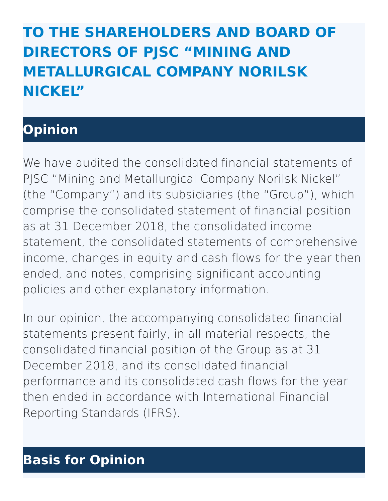# **TO THE SHAREHOLDERS AND BOARD OF DIRECTORS OF PJSC "MINING AND METALLURGICAL COMPANY NORILSK NICKEL"**

## **Opinion**

We have audited the consolidated financial statements of PJSC "Mining and Metallurgical Company Norilsk Nickel" (the "Company") and its subsidiaries (the "Group"), which comprise the consolidated statement of financial position as at 31 December 2018, the consolidated income statement, the consolidated statements of comprehensive income, changes in equity and cash flows for the year then ended, and notes, comprising significant accounting policies and other explanatory information.

In our opinion, the accompanying consolidated financial statements present fairly, in all material respects, the consolidated financial position of the Group as at 31 December 2018, and its consolidated financial performance and its consolidated cash flows for the year then ended in accordance with International Financial Reporting Standards (IFRS).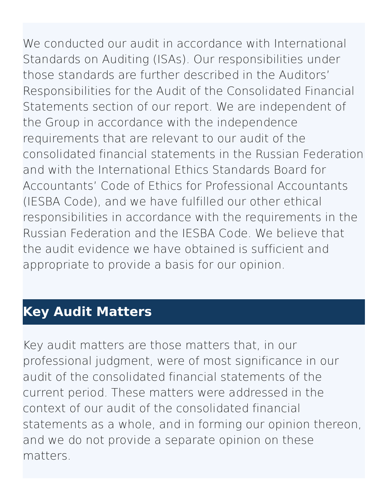We conducted our audit in accordance with International Standards on Auditing (ISAs). Our responsibilities under those standards are further described in the Auditors' Responsibilities for the Audit of the Consolidated Financial Statements section of our report. We are independent of the Group in accordance with the independence requirements that are relevant to our audit of the consolidated financial statements in the Russian Federation and with the International Ethics Standards Board for Accountants' Code of Ethics for Professional Accountants (IESBA Code), and we have fulfilled our other ethical responsibilities in accordance with the requirements in the Russian Federation and the IESBA Code. We believe that the audit evidence we have obtained is sufficient and appropriate to provide a basis for our opinion.

#### **Key Audit Matters**

Key audit matters are those matters that, in our professional judgment, were of most significance in our audit of the consolidated financial statements of the current period. These matters were addressed in the context of our audit of the consolidated financial statements as a whole, and in forming our opinion thereon, and we do not provide a separate opinion on these matters.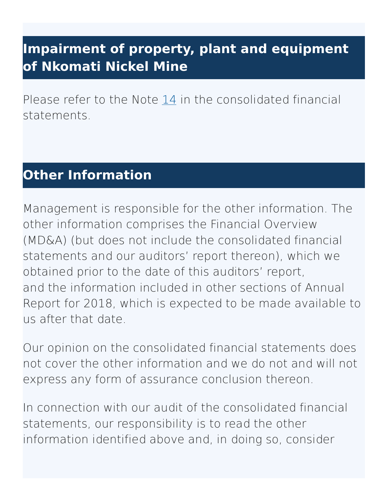### **Impairment of property, plant and equipment of Nkomati Nickel Mine**

Please refer to the Note  $14$  in the consolidated financial statements.

#### **Other Information**

Management is responsible for the other information. The other information comprises the Financial Overview (MD&A) (but does not include the consolidated financial statements and our auditors' report thereon), which we obtained prior to the date of this auditors' report, and the information included in other sections of Annual Report for 2018, which is expected to be made available to us after that date.

Our opinion on the consolidated financial statements does not cover the other information and we do not and will not express any form of assurance conclusion thereon.

In connection with our audit of the consolidated financial statements, our responsibility is to read the other information identified above and, in doing so, consider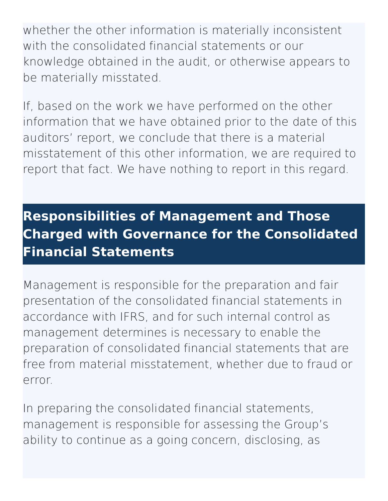whether the other information is materially inconsistent with the consolidated financial statements or our knowledge obtained in the audit, or otherwise appears to be materially misstated.

If, based on the work we have performed on the other information that we have obtained prior to the date of this auditors' report, we conclude that there is a material misstatement of this other information, we are required to report that fact. We have nothing to report in this regard.

### **Responsibilities of Management and Those Charged with Governance for the Consolidated Financial Statements**

Management is responsible for the preparation and fair presentation of the consolidated financial statements in accordance with IFRS, and for such internal control as management determines is necessary to enable the preparation of consolidated financial statements that are free from material misstatement, whether due to fraud or error.

In preparing the consolidated financial statements, management is responsible for assessing the Group's ability to continue as a going concern, disclosing, as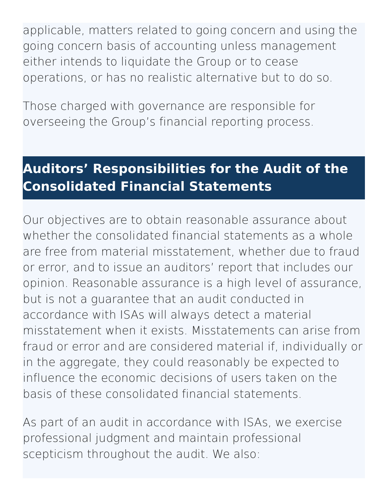applicable, matters related to going concern and using the going concern basis of accounting unless management either intends to liquidate the Group or to cease operations, or has no realistic alternative but to do so.

Those charged with governance are responsible for overseeing the Group's financial reporting process.

### **Auditors' Responsibilities for the Audit of the Consolidated Financial Statements**

Our objectives are to obtain reasonable assurance about whether the consolidated financial statements as a whole are free from material misstatement, whether due to fraud or error, and to issue an auditors' report that includes our opinion. Reasonable assurance is a high level of assurance, but is not a guarantee that an audit conducted in accordance with ISAs will always detect a material misstatement when it exists. Misstatements can arise from fraud or error and are considered material if, individually or in the aggregate, they could reasonably be expected to influence the economic decisions of users taken on the basis of these consolidated financial statements.

As part of an audit in accordance with ISAs, we exercise professional judgment and maintain professional scepticism throughout the audit. We also: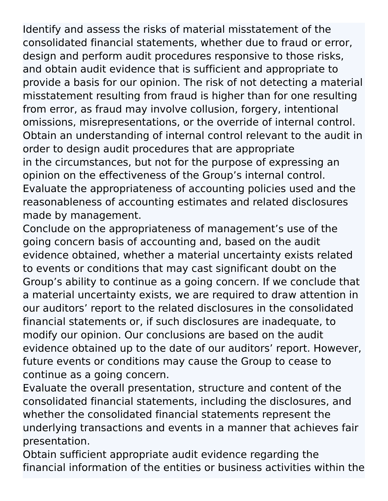Identify and assess the risks of material misstatement of the consolidated financial statements, whether due to fraud or error, design and perform audit procedures responsive to those risks, and obtain audit evidence that is sufficient and appropriate to provide a basis for our opinion. The risk of not detecting a material misstatement resulting from fraud is higher than for one resulting from error, as fraud may involve collusion, forgery, intentional omissions, misrepresentations, or the override of internal control. Obtain an understanding of internal control relevant to the audit in order to design audit procedures that are appropriate in the circumstances, but not for the purpose of expressing an opinion on the effectiveness of the Group's internal control. Evaluate the appropriateness of accounting policies used and the reasonableness of accounting estimates and related disclosures made by management.

Conclude on the appropriateness of management's use of the going concern basis of accounting and, based on the audit evidence obtained, whether a material uncertainty exists related to events or conditions that may cast significant doubt on the Group's ability to continue as a going concern. If we conclude that a material uncertainty exists, we are required to draw attention in our auditors' report to the related disclosures in the consolidated financial statements or, if such disclosures are inadequate, to modify our opinion. Our conclusions are based on the audit evidence obtained up to the date of our auditors' report. However, future events or conditions may cause the Group to cease to continue as a going concern.

Evaluate the overall presentation, structure and content of the consolidated financial statements, including the disclosures, and whether the consolidated financial statements represent the underlying transactions and events in a manner that achieves fair presentation.

Obtain sufficient appropriate audit evidence regarding the financial information of the entities or business activities within the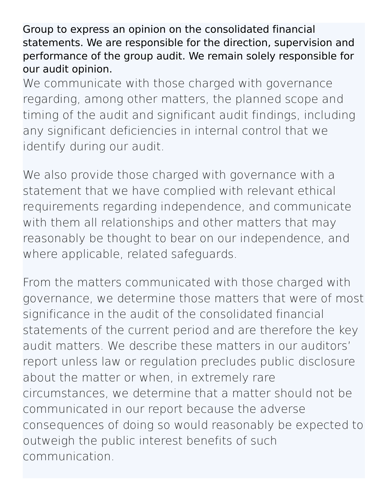Group to express an opinion on the consolidated financial statements. We are responsible for the direction, supervision and performance of the group audit. We remain solely responsible for our audit opinion.

We communicate with those charged with governance regarding, among other matters, the planned scope and timing of the audit and significant audit findings, including any significant deficiencies in internal control that we identify during our audit.

We also provide those charged with governance with a statement that we have complied with relevant ethical requirements regarding independence, and communicate with them all relationships and other matters that may reasonably be thought to bear on our independence, and where applicable, related safeguards.

From the matters communicated with those charged with governance, we determine those matters that were of most significance in the audit of the consolidated financial statements of the current period and are therefore the key audit matters. We describe these matters in our auditors' report unless law or regulation precludes public disclosure about the matter or when, in extremely rare circumstances, we determine that a matter should not be communicated in our report because the adverse consequences of doing so would reasonably be expected to outweigh the public interest benefits of such communication.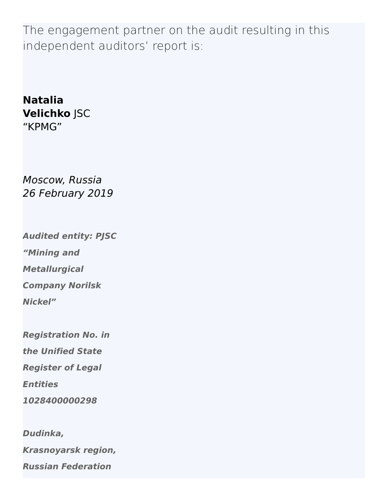The engagement partner on the audit resulting in this independent auditors' report is:

#### **Natalia Velichko** JSC "KPMG"

Moscow, Russia 26 February 2019

**Audited entity: PJSC "Mining and Metallurgical Company Norilsk Nickel"**

**Registration No. in**

**the Unified State**

**Register of Legal**

**Entities**

**1028400000298**

**Dudinka, Krasnoyarsk region, Russian Federation**